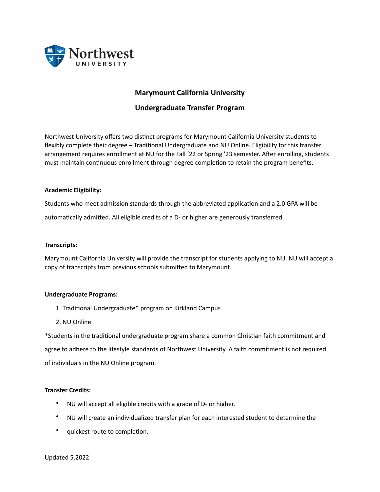

# **Marymount California University**

# **Undergraduate Transfer Program**

Northwest University offers two distinct programs for Marymount California University students to flexibly complete their degree – Traditional Undergraduate and NU Online. Eligibility for this transfer arrangement requires enrollment at NU for the Fall '22 or Spring '23 semester. After enrolling, students must maintain continuous enrollment through degree completion to retain the program benefits.

#### **Academic Eligibility:**

Students who meet admission standards through the abbreviated application and a 2.0 GPA will be automatically admitted. All eligible credits of a D- or higher are generously transferred.

#### **Transcripts:**

Marymount California University will provide the transcript for students applying to NU. NU will accept a copy of transcripts from previous schools submitted to Marymount.

#### **Undergraduate Programs:**

- 1. Traditional Undergraduate\* program on Kirkland Campus
- 2. NU Online

\*Students in the traditional undergraduate program share a common Christian faith commitment and agree to adhere to the lifestyle standards of Northwest University. A faith commitment is not required of individuals in the NU Online program.

#### **Transfer Credits:**

- NU will accept all eligible credits with a grade of D- or higher.
- NU will create an individualized transfer plan for each interested student to determine the
- quickest route to completion.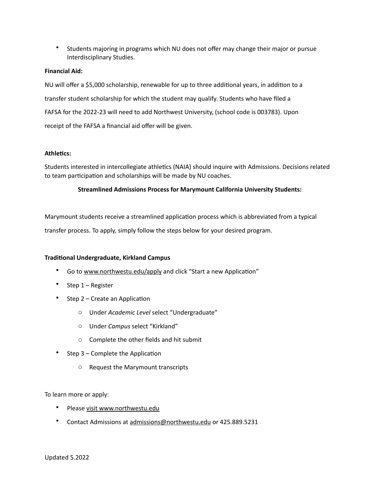• Students majoring in programs which NU does not offer may change their major or pursue Interdisciplinary Studies.

### **Financial Aid:**

NU will offer a \$5,000 scholarship, renewable for up to three additional years, in addition to a transfer student scholarship for which the student may qualify. Students who have filed a FAFSA for the 2022-23 will need to add Northwest University, (school code is 003783). Upon receipt of the FAFSA a financial aid offer will be given.

#### **Athletics:**

Students interested in intercollegiate athletics (NAIA) should inquire with Admissions. Decisions related to team participation and scholarships will be made by NU coaches.

## **Streamlined Admissions Process for Marymount California University Students:**

Marymount students receive a streamlined application process which is abbreviated from a typical

transfer process. To apply, simply follow the steps below for your desired program.

#### **Traditional Undergraduate, Kirkland Campus**

- Go to www.northwestu.edu/apply and click "Start a new Application"
- Step 1 – Register
- Step 2 Create an Application
	- o Under *Academic Level* select "Undergraduate"
	- o Under *Campus* select "Kirkland"
	- $\circ$  Complete the other fields and hit submit
- Step  $3$  Complete the Application
	- $\circ$  Request the Marymount transcripts

To learn more or apply:

- Please visit www.northwestu.edu
- Contact Admissions at admissions@northwestu.edu or 425.889.5231